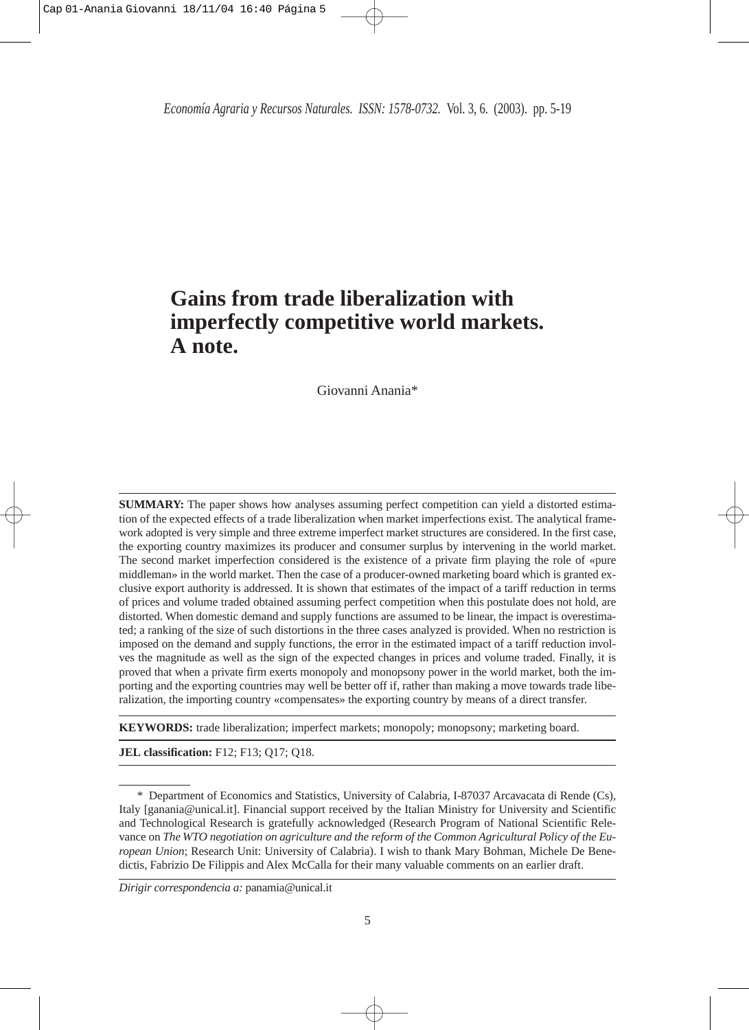*Economía Agraria y Recursos Naturales. ISSN: 1578-0732.* Vol. 3, 6. (2003). pp. 5-19

# **Gains from trade liberalization with imperfectly competitive world markets. A note.**

Giovanni Anania\*

**SUMMARY:** The paper shows how analyses assuming perfect competition can yield a distorted estimation of the expected effects of a trade liberalization when market imperfections exist. The analytical framework adopted is very simple and three extreme imperfect market structures are considered. In the first case, the exporting country maximizes its producer and consumer surplus by intervening in the world market. The second market imperfection considered is the existence of a private firm playing the role of «pure middleman» in the world market. Then the case of a producer-owned marketing board which is granted exclusive export authority is addressed. It is shown that estimates of the impact of a tariff reduction in terms of prices and volume traded obtained assuming perfect competition when this postulate does not hold, are distorted. When domestic demand and supply functions are assumed to be linear, the impact is overestimated; a ranking of the size of such distortions in the three cases analyzed is provided. When no restriction is imposed on the demand and supply functions, the error in the estimated impact of a tariff reduction involves the magnitude as well as the sign of the expected changes in prices and volume traded. Finally, it is proved that when a private firm exerts monopoly and monopsony power in the world market, both the importing and the exporting countries may well be better off if, rather than making a move towards trade liberalization, the importing country «compensates» the exporting country by means of a direct transfer.

**KEYWORDS:** trade liberalization; imperfect markets; monopoly; monopsony; marketing board.

**JEL classification:** F12; F13; Q17; Q18.

<sup>\*</sup> Department of Economics and Statistics, University of Calabria, I-87037 Arcavacata di Rende (Cs), Italy [ganania@unical.it]. Financial support received by the Italian Ministry for University and Scientific and Technological Research is gratefully acknowledged (Research Program of National Scientific Relevance on *The WTO negotiation on agriculture and the reform of the Common Agricultural Policy of the European Union*; Research Unit: University of Calabria). I wish to thank Mary Bohman, Michele De Benedictis, Fabrizio De Filippis and Alex McCalla for their many valuable comments on an earlier draft.

*Dirigir correspondencia a:* panamia@unical.it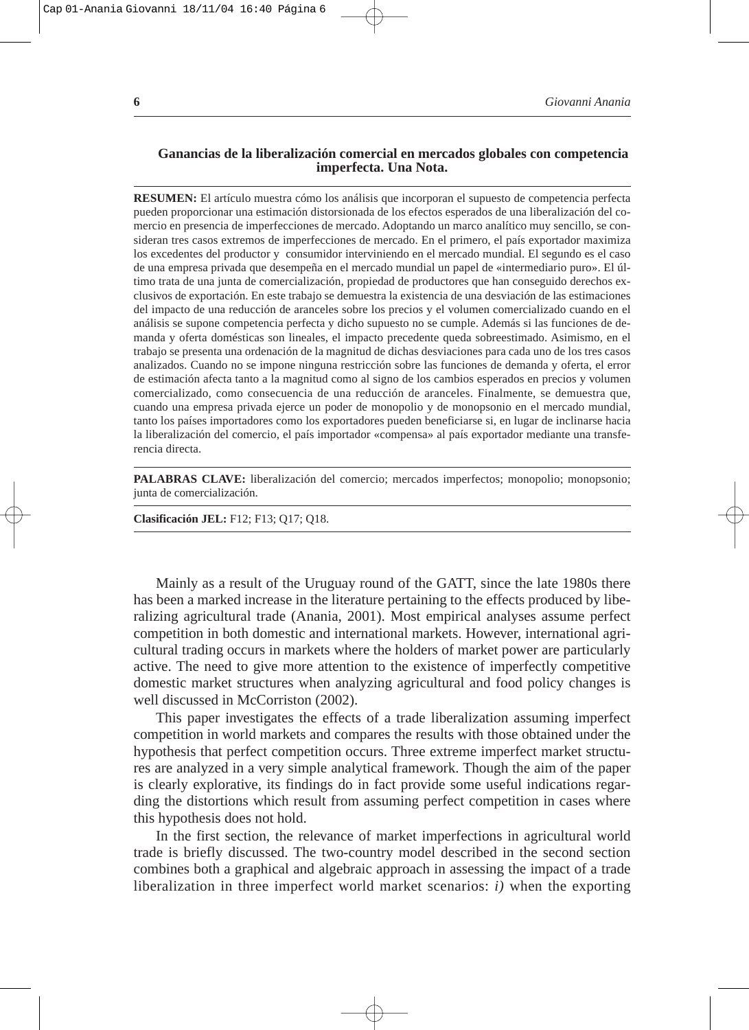#### Cap 01-Anania Giovanni 18/11/04 16:40 Página 6

### **Ganancias de la liberalización comercial en mercados globales con competencia imperfecta. Una Nota.**

**RESUMEN:** El artículo muestra cómo los análisis que incorporan el supuesto de competencia perfecta pueden proporcionar una estimación distorsionada de los efectos esperados de una liberalización del comercio en presencia de imperfecciones de mercado. Adoptando un marco analítico muy sencillo, se consideran tres casos extremos de imperfecciones de mercado. En el primero, el país exportador maximiza los excedentes del productor y consumidor interviniendo en el mercado mundial. El segundo es el caso de una empresa privada que desempeña en el mercado mundial un papel de «intermediario puro». El último trata de una junta de comercialización, propiedad de productores que han conseguido derechos exclusivos de exportación. En este trabajo se demuestra la existencia de una desviación de las estimaciones del impacto de una reducción de aranceles sobre los precios y el volumen comercializado cuando en el análisis se supone competencia perfecta y dicho supuesto no se cumple. Además si las funciones de demanda y oferta domésticas son lineales, el impacto precedente queda sobreestimado. Asimismo, en el trabajo se presenta una ordenación de la magnitud de dichas desviaciones para cada uno de los tres casos analizados. Cuando no se impone ninguna restricción sobre las funciones de demanda y oferta, el error de estimación afecta tanto a la magnitud como al signo de los cambios esperados en precios y volumen comercializado, como consecuencia de una reducción de aranceles. Finalmente, se demuestra que, cuando una empresa privada ejerce un poder de monopolio y de monopsonio en el mercado mundial, tanto los países importadores como los exportadores pueden beneficiarse si, en lugar de inclinarse hacia la liberalización del comercio, el país importador «compensa» al país exportador mediante una transferencia directa.

**PALABRAS CLAVE:** liberalización del comercio; mercados imperfectos; monopolio; monopsonio; junta de comercialización.

**Clasificación JEL:** F12; F13; Q17; Q18.

Mainly as a result of the Uruguay round of the GATT, since the late 1980s there has been a marked increase in the literature pertaining to the effects produced by liberalizing agricultural trade (Anania, 2001). Most empirical analyses assume perfect competition in both domestic and international markets. However, international agricultural trading occurs in markets where the holders of market power are particularly active. The need to give more attention to the existence of imperfectly competitive domestic market structures when analyzing agricultural and food policy changes is well discussed in McCorriston (2002).

This paper investigates the effects of a trade liberalization assuming imperfect competition in world markets and compares the results with those obtained under the hypothesis that perfect competition occurs. Three extreme imperfect market structures are analyzed in a very simple analytical framework. Though the aim of the paper is clearly explorative, its findings do in fact provide some useful indications regarding the distortions which result from assuming perfect competition in cases where this hypothesis does not hold.

In the first section, the relevance of market imperfections in agricultural world trade is briefly discussed. The two-country model described in the second section combines both a graphical and algebraic approach in assessing the impact of a trade liberalization in three imperfect world market scenarios: *i)* when the exporting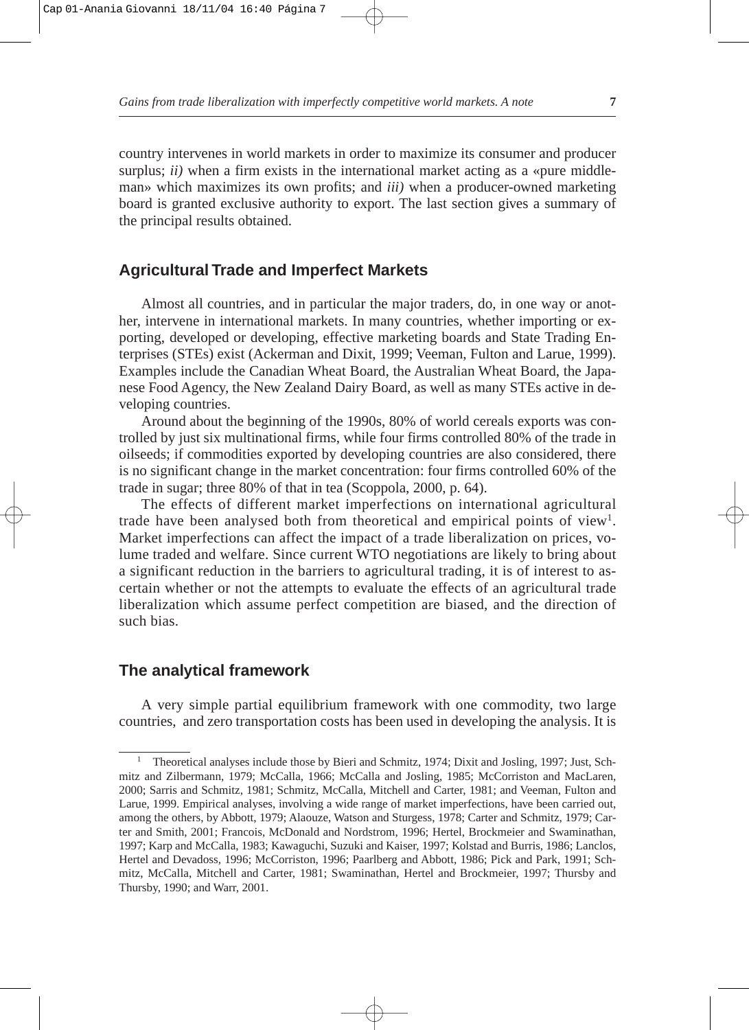*Gains from trade liberalization with imperfectly competitive world markets. A note* **7**

country intervenes in world markets in order to maximize its consumer and producer surplus;  $ii)$  when a firm exists in the international market acting as a «pure middleman» which maximizes its own profits; and *iii)* when a producer-owned marketing board is granted exclusive authority to export. The last section gives a summary of the principal results obtained.

## **Agricultural Trade and Imperfect Markets**

Almost all countries, and in particular the major traders, do, in one way or another, intervene in international markets. In many countries, whether importing or exporting, developed or developing, effective marketing boards and State Trading Enterprises (STEs) exist (Ackerman and Dixit, 1999; Veeman, Fulton and Larue, 1999). Examples include the Canadian Wheat Board, the Australian Wheat Board, the Japanese Food Agency, the New Zealand Dairy Board, as well as many STEs active in developing countries.

Around about the beginning of the 1990s, 80% of world cereals exports was controlled by just six multinational firms, while four firms controlled 80% of the trade in oilseeds; if commodities exported by developing countries are also considered, there is no significant change in the market concentration: four firms controlled 60% of the trade in sugar; three 80% of that in tea (Scoppola, 2000, p. 64).

The effects of different market imperfections on international agricultural trade have been analysed both from theoretical and empirical points of view<sup>1</sup>. Market imperfections can affect the impact of a trade liberalization on prices, volume traded and welfare. Since current WTO negotiations are likely to bring about a significant reduction in the barriers to agricultural trading, it is of interest to ascertain whether or not the attempts to evaluate the effects of an agricultural trade liberalization which assume perfect competition are biased, and the direction of such bias.

## **The analytical framework**

A very simple partial equilibrium framework with one commodity, two large countries, and zero transportation costs has been used in developing the analysis. It is

<sup>1</sup> Theoretical analyses include those by Bieri and Schmitz, 1974; Dixit and Josling, 1997; Just, Schmitz and Zilbermann, 1979; McCalla, 1966; McCalla and Josling, 1985; McCorriston and MacLaren, 2000; Sarris and Schmitz, 1981; Schmitz, McCalla, Mitchell and Carter, 1981; and Veeman, Fulton and Larue, 1999. Empirical analyses, involving a wide range of market imperfections, have been carried out, among the others, by Abbott, 1979; Alaouze, Watson and Sturgess, 1978; Carter and Schmitz, 1979; Carter and Smith, 2001; Francois, McDonald and Nordstrom, 1996; Hertel, Brockmeier and Swaminathan, 1997; Karp and McCalla, 1983; Kawaguchi, Suzuki and Kaiser, 1997; Kolstad and Burris, 1986; Lanclos, Hertel and Devadoss, 1996; McCorriston, 1996; Paarlberg and Abbott, 1986; Pick and Park, 1991; Schmitz, McCalla, Mitchell and Carter, 1981; Swaminathan, Hertel and Brockmeier, 1997; Thursby and Thursby, 1990; and Warr, 2001.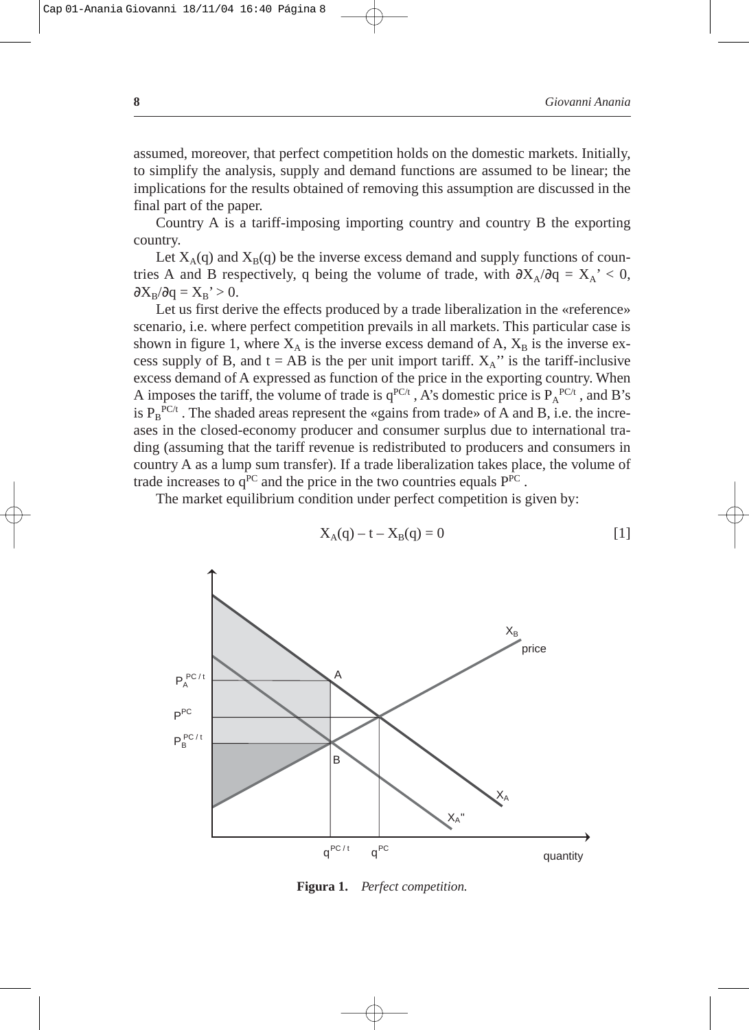assumed, moreover, that perfect competition holds on the domestic markets. Initially, to simplify the analysis, supply and demand functions are assumed to be linear; the implications for the results obtained of removing this assumption are discussed in the final part of the paper.

Country A is a tariff-imposing importing country and country B the exporting country.

Let  $X_A(q)$  and  $X_B(q)$  be the inverse excess demand and supply functions of countries A and B respectively, q being the volume of trade, with  $\partial X_A/\partial q = X_A' < 0$ ,  $\partial X_B/\partial q = X_B' > 0.$ 

Let us first derive the effects produced by a trade liberalization in the «reference» scenario, i.e. where perfect competition prevails in all markets. This particular case is shown in figure 1, where  $X_A$  is the inverse excess demand of A,  $X_B$  is the inverse excess supply of B, and  $t = AB$  is the per unit import tariff.  $X_A$ " is the tariff-inclusive excess demand of A expressed as function of the price in the exporting country. When A imposes the tariff, the volume of trade is  $q^{PC/t}$ , A's domestic price is  $P_A^{PC/t}$ , and B's is  $P_B^{PC/t}$ . The shaded areas represent the «gains from trade» of A and B, i.e. the increases in the closed-economy producer and consumer surplus due to international trading (assuming that the tariff revenue is redistributed to producers and consumers in country A as a lump sum transfer). If a trade liberalization takes place, the volume of trade increases to  $q^{PC}$  and the price in the two countries equals  $P^{PC}$ .

The market equilibrium condition under perfect competition is given by:



$$
X_A(q) - t - X_B(q) = 0
$$
 [1]

**Figura 1.** *Perfect competition.*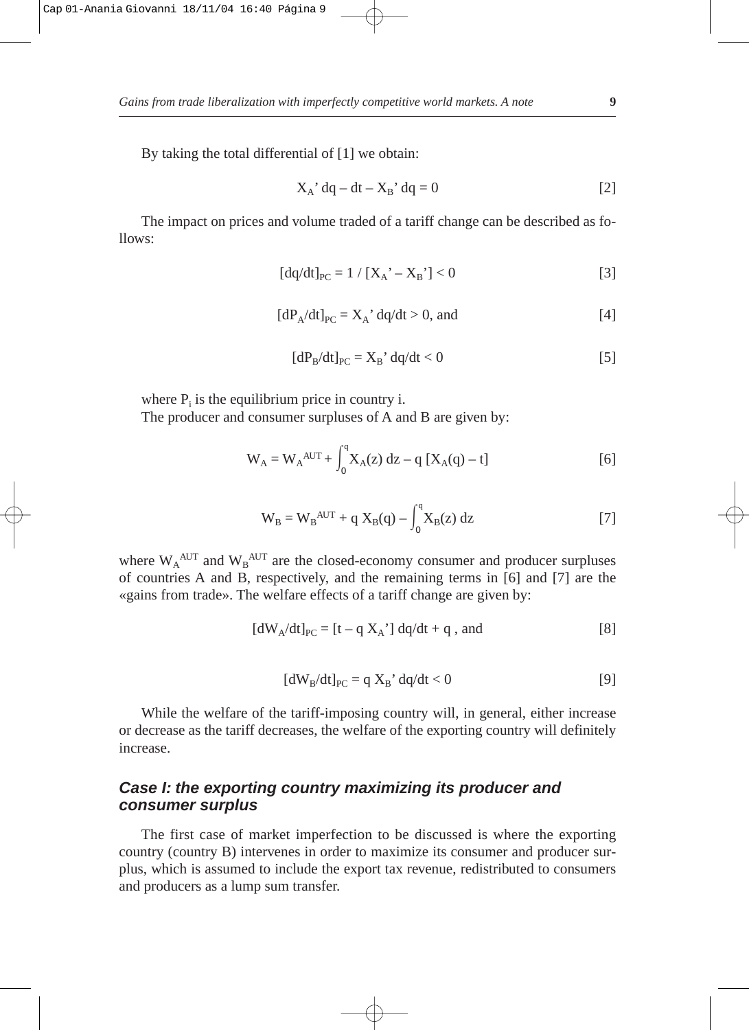*Gains from trade liberalization with imperfectly competitive world markets. A note* **9**

By taking the total differential of [1] we obtain:

$$
X_A' \, dq - dt - X_B' \, dq = 0 \tag{2}
$$

The impact on prices and volume traded of a tariff change can be described as follows:

$$
[dq/dt]_{PC} = 1 / [X_A' - X_B'] < 0
$$
 [3]

$$
[dP_A/dt]_{PC} = X_A' \, dq/dt > 0, \text{ and} \tag{4}
$$

$$
[dP_B/dt]_{PC} = X_B' \cdot dq/dt < 0
$$
 [5]

where  $P_i$  is the equilibrium price in country i.

The producer and consumer surpluses of A and B are given by:

$$
W_A = W_A^{AUT} + \int_0^q X_A(z) dz - q [X_A(q) - t]
$$
 [6]

$$
W_B = W_B^{AUT} + q X_B(q) - \int_0^q X_B(z) dz
$$
 [7]

where  $W_A^{AUT}$  and  $W_B^{AUT}$  are the closed-economy consumer and producer surpluses of countries A and B, respectively, and the remaining terms in [6] and [7] are the «gains from trade». The welfare effects of a tariff change are given by:

$$
[dW_A/dt]_{PC} = [t - q X_A'] dq/dt + q
$$
, and [8]

$$
[dW_B/dt]_{PC} = q X_B' \cdot dq/dt < 0
$$
 [9]

While the welfare of the tariff-imposing country will, in general, either increase or decrease as the tariff decreases, the welfare of the exporting country will definitely increase.

## **Case I: the exporting country maximizing its producer and consumer surplus**

The first case of market imperfection to be discussed is where the exporting country (country B) intervenes in order to maximize its consumer and producer surplus, which is assumed to include the export tax revenue, redistributed to consumers and producers as a lump sum transfer.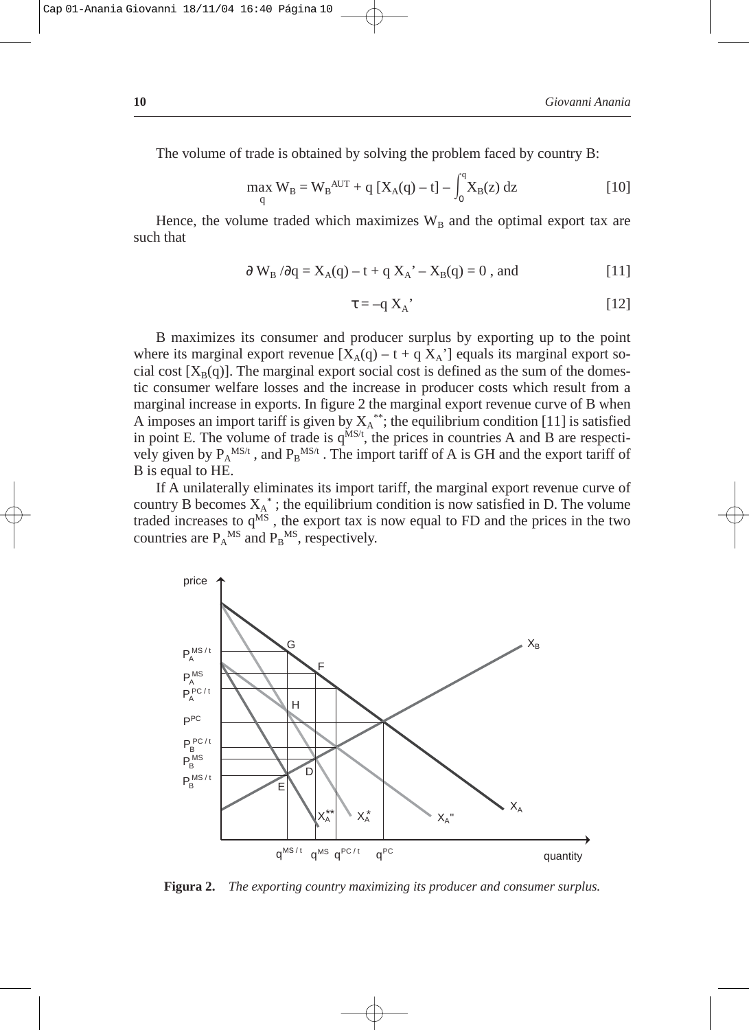The volume of trade is obtained by solving the problem faced by country B:

$$
\max_{q} W_{B} = W_{B}^{AUT} + q [X_{A}(q) - t] - \int_{0}^{q} X_{B}(z) dz
$$
 [10]

Hence, the volume traded which maximizes  $W_B$  and the optimal export tax are such that

$$
\partial W_B / \partial q = X_A(q) - t + q X_A' - X_B(q) = 0
$$
, and [11]

$$
\tau = -q X_A' \tag{12}
$$

B maximizes its consumer and producer surplus by exporting up to the point where its marginal export revenue  $[X_A(q) - t + q X_A]$  equals its marginal export social cost  $[X_B(q)]$ . The marginal export social cost is defined as the sum of the domestic consumer welfare losses and the increase in producer costs which result from a marginal increase in exports. In figure 2 the marginal export revenue curve of B when A imposes an import tariff is given by  $X_A^*$ ; the equilibrium condition [11] is satisfied in point E. The volume of trade is  $q^{MS/t}$ , the prices in countries A and B are respectively given by  $P_A^{MS/t}$ , and  $P_B^{MS/t}$ . The import tariff of A is GH and the export tariff of B is equal to HE.

If A unilaterally eliminates its import tariff, the marginal export revenue curve of country B becomes  $X_A^*$ ; the equilibrium condition is now satisfied in D. The volume traded increases to  $q^{\dot{MS}}$ , the export tax is now equal to FD and the prices in the two countries are  $P_A^{MS}$  and  $P_B^{MS}$ , respectively.



**Figura 2.** *The exporting country maximizing its producer and consumer surplus.*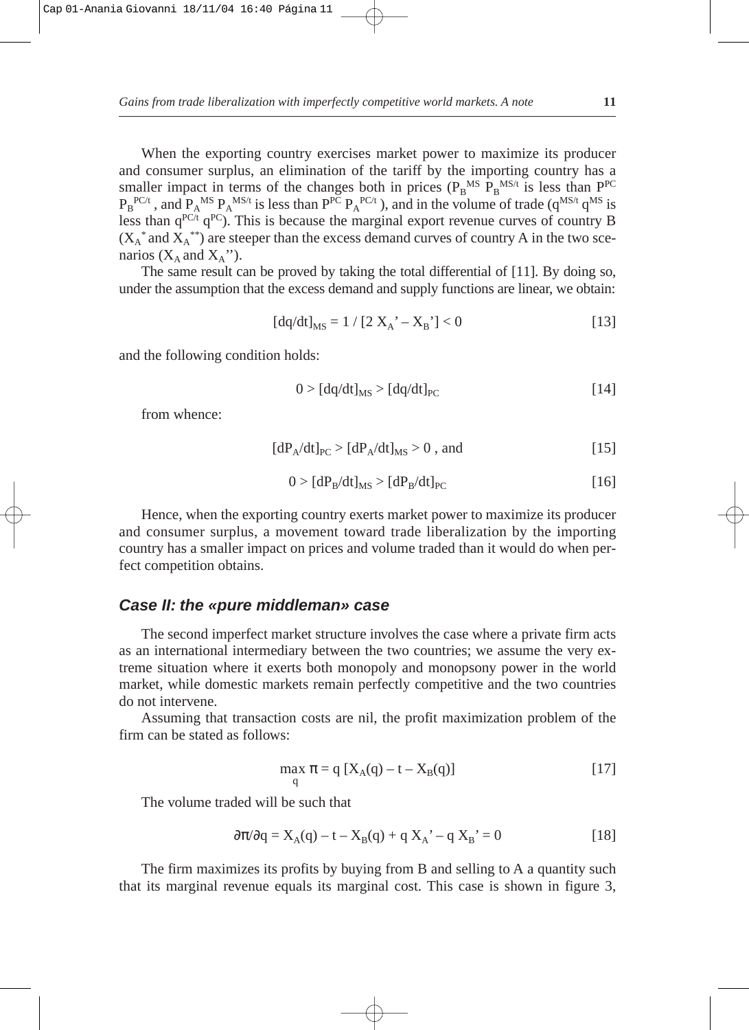*Gains from trade liberalization with imperfectly competitive world markets. A note* **11**

When the exporting country exercises market power to maximize its producer and consumer surplus, an elimination of the tariff by the importing country has a smaller impact in terms of the changes both in prices  $(P_B^M)^{MS/t}$  is less than  $P^{PC}$  $P_B^{PC/t}$  , and  $P_A^{MS} P_A^{MS/t}$  is less than  $P^{PC} P_A^{PC/t}$  ), and in the volume of trade ( $q^{MS/t} q^{MS}$  is less than  $q^{PC/t}$   $q^{PC}$ ). This is because the marginal export revenue curves of country B  $(X_A^*$  and  $X_A^{**}$ ) are steeper than the excess demand curves of country A in the two scenarios ( $X_A$  and  $X_A$ ").

The same result can be proved by taking the total differential of [11]. By doing so, under the assumption that the excess demand and supply functions are linear, we obtain:

$$
[dq/dt]_{MS} = 1 / [2 X_A' - X_B'] < 0
$$
 [13]

and the following condition holds:

$$
0 > [dq/dt]_{MS} > [dq/dt]_{PC}
$$
 [14]

from whence:

$$
[dP_A/dt]_{PC} > [dP_A/dt]_{MS} > 0
$$
, and [15]

$$
0 > [dPB/dt]MS > [dPB/dt]PC
$$
 [16]

Hence, when the exporting country exerts market power to maximize its producer and consumer surplus, a movement toward trade liberalization by the importing country has a smaller impact on prices and volume traded than it would do when perfect competition obtains.

#### **Case II: the «pure middleman» case**

The second imperfect market structure involves the case where a private firm acts as an international intermediary between the two countries; we assume the very extreme situation where it exerts both monopoly and monopsony power in the world market, while domestic markets remain perfectly competitive and the two countries do not intervene.

Assuming that transaction costs are nil, the profit maximization problem of the firm can be stated as follows:

$$
\max_{q} \pi = q [X_{A}(q) - t - X_{B}(q)] \tag{17}
$$

The volume traded will be such that

$$
\partial \pi / \partial q = X_A(q) - t - X_B(q) + q X_A' - q X_B' = 0
$$
 [18]

The firm maximizes its profits by buying from B and selling to A a quantity such that its marginal revenue equals its marginal cost. This case is shown in figure 3,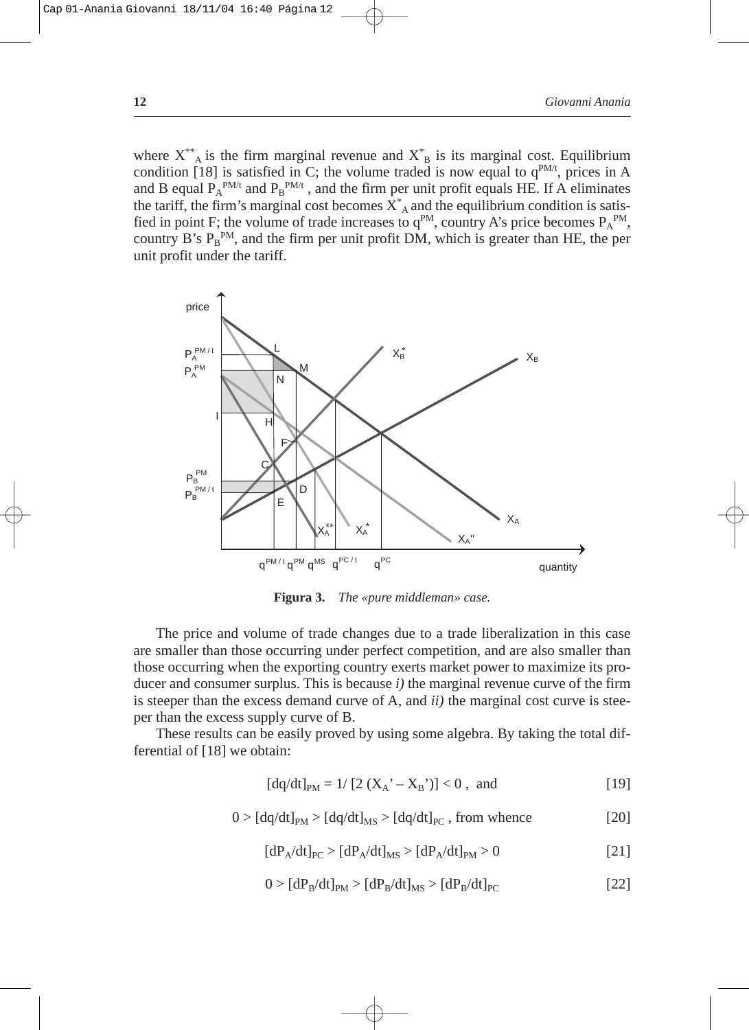where  $X^*$ <sup>\*</sup><sub>A</sub> is the firm marginal revenue and  $X^*$ <sub>B</sub> is its marginal cost. Equilibrium condition [18] is satisfied in C; the volume traded is now equal to  $q^{PM/t}$ , prices in A and B equal  $P_A^{PM/t}$  and  $P_B^{PM/t}$ , and the firm per unit profit equals HE. If A eliminates the tariff, the firm's marginal cost becomes  $X^*$  and the equilibrium condition is satisfied in point F; the volume of trade increases to  $q^{PM}$ , country A's price becomes  $P_A^{PM}$ , country B's  $P_B^{PM}$ , and the firm per unit profit DM, which is greater than HE, the per unit profit under the tariff.



**Figura 3.** *The «pure middleman» case.*

The price and volume of trade changes due to a trade liberalization in this case are smaller than those occurring under perfect competition, and are also smaller than those occurring when the exporting country exerts market power to maximize its producer and consumer surplus. This is because *i)* the marginal revenue curve of the firm is steeper than the excess demand curve of A, and *ii)* the marginal cost curve is steeper than the excess supply curve of B.

These results can be easily proved by using some algebra. By taking the total differential of [18] we obtain:

$$
[dq/dt]_{PM} = 1/[2(X_A^{\prime} - X_B^{\prime})] < 0 , \text{ and} \qquad [19]
$$

$$
0 > [dq/dt]_{PM} > [dq/dt]_{MS} > [dq/dt]_{PC}
$$
, from whence [20]

$$
[dP_A/dt]_{PC} > [dP_A/dt]_{MS} > [dP_A/dt]_{PM} > 0
$$
\n
$$
\tag{21}
$$

$$
0 > [dP_B/dt]_{PM} > [dP_B/dt]_{MS} > [dP_B/dt]_{PC}
$$
\n(22)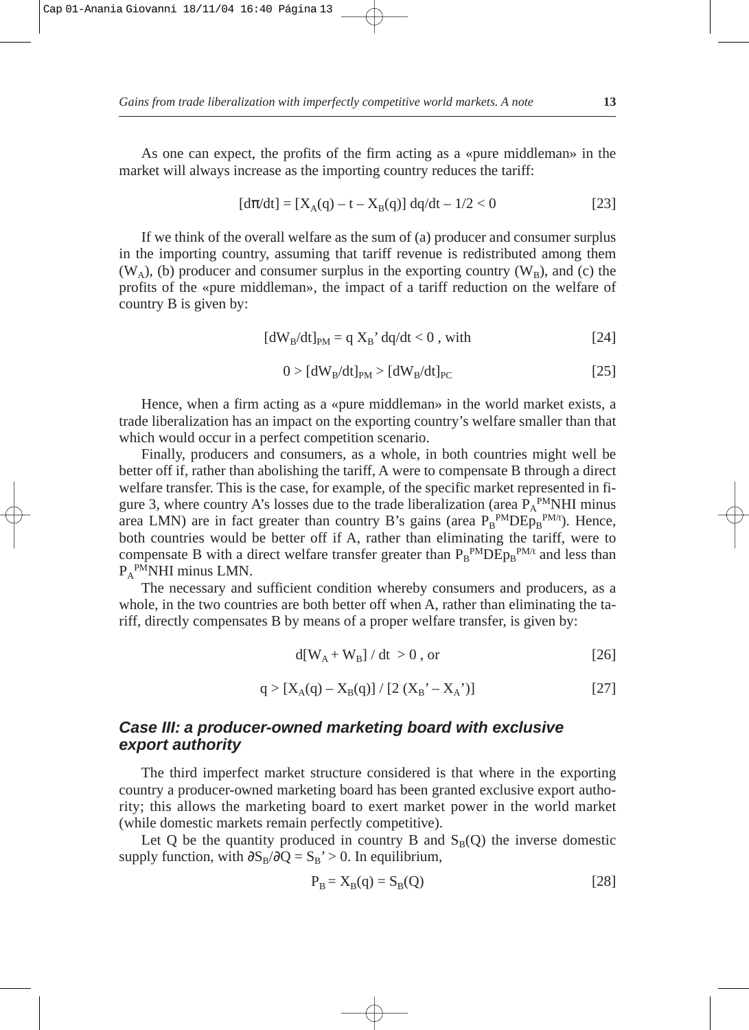As one can expect, the profits of the firm acting as a «pure middleman» in the market will always increase as the importing country reduces the tariff:

$$
[d\pi/dt] = [X_A(q) - t - X_B(q)] dq/dt - 1/2 < 0
$$
 [23]

If we think of the overall welfare as the sum of (a) producer and consumer surplus in the importing country, assuming that tariff revenue is redistributed among them  $(W_A)$ , (b) producer and consumer surplus in the exporting country  $(W_B)$ , and (c) the profits of the «pure middleman», the impact of a tariff reduction on the welfare of country B is given by:

$$
[dWB/dt]PM = q XB' dq/dt < 0, with
$$
 [24]

$$
0 > [dWB/dt]PM > [dWB/dt]PC
$$
 [25]

Hence, when a firm acting as a «pure middleman» in the world market exists, a trade liberalization has an impact on the exporting country's welfare smaller than that which would occur in a perfect competition scenario.

Finally, producers and consumers, as a whole, in both countries might well be better off if, rather than abolishing the tariff, A were to compensate B through a direct welfare transfer. This is the case, for example, of the specific market represented in figure 3, where country A's losses due to the trade liberalization (area  $P_A^{PM}$ NHI minus area LMN) are in fact greater than country B's gains (area  $P_B^{PMDE}P_B^{PM/t}$ ). Hence, both countries would be better off if A, rather than eliminating the tariff, were to compensate B with a direct welfare transfer greater than  $P_B^{PMDE}P_B^{PM/t}$  and less than P<sub>A</sub><sup>PM</sup>NHI minus LMN.

The necessary and sufficient condition whereby consumers and producers, as a whole, in the two countries are both better off when A, rather than eliminating the tariff, directly compensates B by means of a proper welfare transfer, is given by:

$$
d[W_A + W_B] / dt > 0, or
$$
 [26]

$$
q > [X_A(q) - X_B(q)] / [2 (X_B' - X_A')] \tag{27}
$$

## **Case III: a producer-owned marketing board with exclusive export authority**

The third imperfect market structure considered is that where in the exporting country a producer-owned marketing board has been granted exclusive export authority; this allows the marketing board to exert market power in the world market (while domestic markets remain perfectly competitive).

Let Q be the quantity produced in country B and  $S_B(Q)$  the inverse domestic supply function, with  $\partial S_B/\partial Q = S_B$ ' > 0. In equilibrium,

$$
P_B = X_B(q) = S_B(Q)
$$
 [28]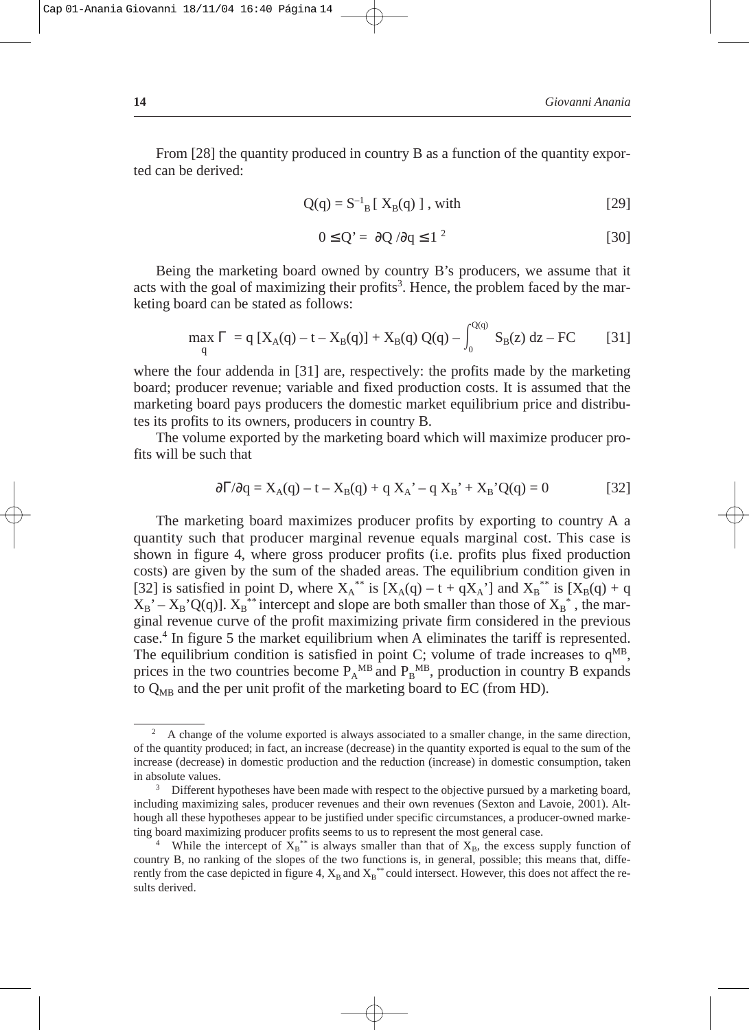From [28] the quantity produced in country B as a function of the quantity exported can be derived:

$$
Q(q) = S^{-1}{}_B [ X_B(q) ], with
$$
 [29]

$$
0 \le Q' = \partial Q / \partial q \le 1^2 \tag{30}
$$

Being the marketing board owned by country B's producers, we assume that it acts with the goal of maximizing their profits<sup>3</sup>. Hence, the problem faced by the marketing board can be stated as follows:

$$
\max_{q} \Gamma = q [X_{A}(q) - t - X_{B}(q)] + X_{B}(q) Q(q) - \int_{0}^{Q(q)} S_{B}(z) dz - FC \qquad [31]
$$

where the four addenda in [31] are, respectively: the profits made by the marketing board; producer revenue; variable and fixed production costs. It is assumed that the marketing board pays producers the domestic market equilibrium price and distributes its profits to its owners, producers in country B.

The volume exported by the marketing board which will maximize producer profits will be such that

$$
\frac{\partial \Gamma}{\partial q} = X_A(q) - t - X_B(q) + q X_A' - q X_B' + X_B' Q(q) = 0
$$
 [32]

The marketing board maximizes producer profits by exporting to country A a quantity such that producer marginal revenue equals marginal cost. This case is shown in figure 4, where gross producer profits (i.e. profits plus fixed production costs) are given by the sum of the shaded areas. The equilibrium condition given in [32] is satisfied in point D, where  $X_A^{**}$  is  $[X_A(q) - t + qX_A]$  and  $X_B^{**}$  is  $[X_B(q) + q$  $X_B' - X_B'Q(q)$ ].  $X_B^{**}$  intercept and slope are both smaller than those of  $X_B^*$ , the marginal revenue curve of the profit maximizing private firm considered in the previous case.4 In figure 5 the market equilibrium when A eliminates the tariff is represented. The equilibrium condition is satisfied in point C; volume of trade increases to  $q^{MB}$ , prices in the two countries become  $P_A^{MB}$  and  $P_B^{MB}$ , production in country B expands to  $Q_{MB}$  and the per unit profit of the marketing board to EC (from HD).

<sup>&</sup>lt;sup>2</sup> A change of the volume exported is always associated to a smaller change, in the same direction, of the quantity produced; in fact, an increase (decrease) in the quantity exported is equal to the sum of the increase (decrease) in domestic production and the reduction (increase) in domestic consumption, taken in absolute values.<br><sup>3</sup> Different hypotheses have been made with respect to the objective pursued by a marketing board,

including maximizing sales, producer revenues and their own revenues (Sexton and Lavoie, 2001). Although all these hypotheses appear to be justified under specific circumstances, a producer-owned marke-

ting board maximizing producer profits seems to us to represent the most general case.<br><sup>4</sup> While the intercept of  $X_B^*$  is always smaller than that of  $X_B$ , the excess supply function of country B, no ranking of the slopes of the two functions is, in general, possible; this means that, differently from the case depicted in figure 4,  $X_B$  and  $X_B$ <sup>\*\*</sup> could intersect. However, this does not affect the results derived.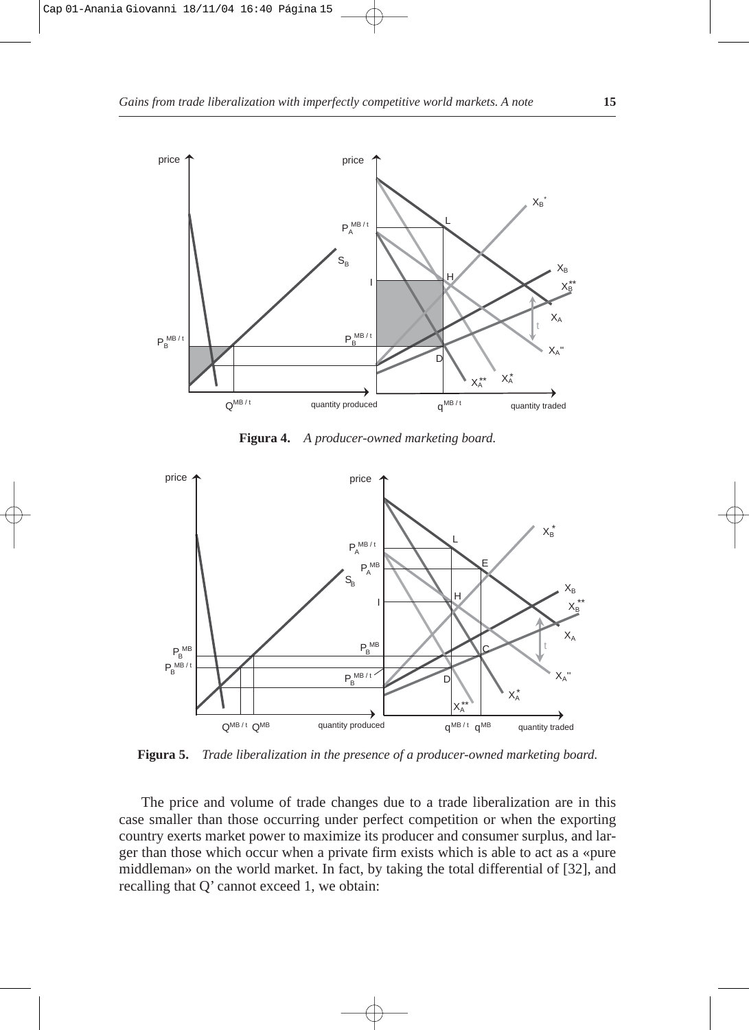

**Figura 4.** *A producer-owned marketing board.*



**Figura 5.** *Trade liberalization in the presence of a producer-owned marketing board.*

The price and volume of trade changes due to a trade liberalization are in this case smaller than those occurring under perfect competition or when the exporting country exerts market power to maximize its producer and consumer surplus, and larger than those which occur when a private firm exists which is able to act as a «pure middleman» on the world market. In fact, by taking the total differential of [32], and recalling that Q' cannot exceed 1, we obtain: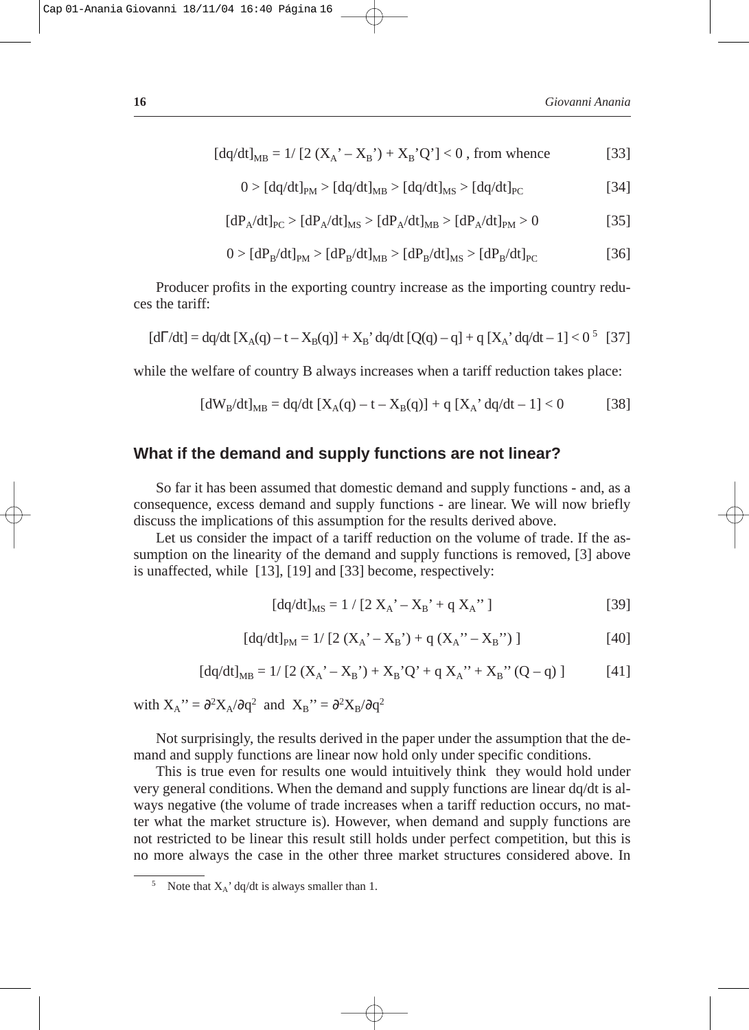$$
[dq/dt]_{MB} = 1/[2(X_{A}^{'} - X_{B}^{'}) + X_{B}^{'}Q'] < 0
$$
, from whence [33]

$$
0 > [dq/dt]_{PM} > [dq/dt]_{MB} > [dq/dt]_{MS} > [dq/dt]_{PC}
$$
 [34]

$$
[dP_A/dt]_{PC} > [dP_A/dt]_{MS} > [dP_A/dt]_{MB} > [dP_A/dt]_{PM} > 0
$$
 [35]

$$
0 > [dP_B/dt]_{PM} > [dP_B/dt]_{MB} > [dP_B/dt]_{MS} > [dP_B/dt]_{PC}
$$
 [36]

Producer profits in the exporting country increase as the importing country reduces the tariff:

$$
[d\Gamma/dt] = dq/dt \left[X_A(q) - t - X_B(q)\right] + X_B' dq/dt \left[Q(q) - q\right] + q \left[X_A' dq/dt - 1\right] < 0^5 \quad [37]
$$

while the welfare of country B always increases when a tariff reduction takes place:

$$
[dW_B/dt]_{MB} = dq/dt [X_A(q) - t - X_B(q)] + q [X_A' dq/dt - 1] < 0
$$
 [38]

#### **What if the demand and supply functions are not linear?**

So far it has been assumed that domestic demand and supply functions - and, as a consequence, excess demand and supply functions - are linear. We will now briefly discuss the implications of this assumption for the results derived above.

Let us consider the impact of a tariff reduction on the volume of trade. If the assumption on the linearity of the demand and supply functions is removed, [3] above is unaffected, while [13], [19] and [33] become, respectively:

$$
[dq/dt]_{MS} = 1 / [2 X_A' - X_B' + q X_A'']
$$
 [39]

$$
[dq/dt]_{PM} = 1/ [2 (X_A^{\prime} - X_B^{\prime}) + q (X_A^{\prime\prime} - X_B^{\prime\prime}) ]
$$
 [40]

$$
[dq/dt]_{MB} = 1/ [2 (X_A^{\ \prime} - X_B^{\ \prime}) + X_B^{\ \prime} Q^{\ \prime} + q X_A^{\ \prime\prime} + X_B^{\ \prime\prime} (Q - q)] \tag{41}
$$

with  $X_A$ <sup>"</sup> =  $\partial^2 X_A / \partial q^2$  and  $X_B$ " =  $\partial^2 X_B / \partial q^2$ 

Not surprisingly, the results derived in the paper under the assumption that the demand and supply functions are linear now hold only under specific conditions.

This is true even for results one would intuitively think they would hold under very general conditions. When the demand and supply functions are linear dq/dt is always negative (the volume of trade increases when a tariff reduction occurs, no matter what the market structure is). However, when demand and supply functions are not restricted to be linear this result still holds under perfect competition, but this is no more always the case in the other three market structures considered above. In

Note that  $X_A'$  dq/dt is always smaller than 1.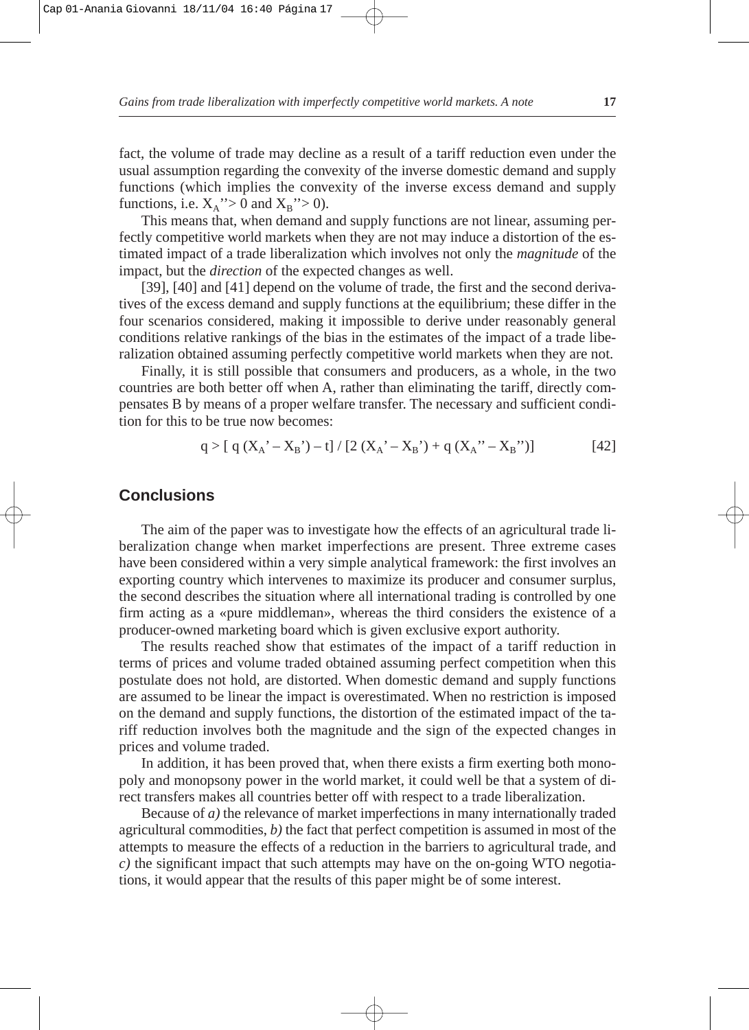fact, the volume of trade may decline as a result of a tariff reduction even under the usual assumption regarding the convexity of the inverse domestic demand and supply functions (which implies the convexity of the inverse excess demand and supply functions, i.e.  $X_A$ "> 0 and  $X_B$ "> 0).

This means that, when demand and supply functions are not linear, assuming perfectly competitive world markets when they are not may induce a distortion of the estimated impact of a trade liberalization which involves not only the *magnitude* of the impact, but the *direction* of the expected changes as well.

[39], [40] and [41] depend on the volume of trade, the first and the second derivatives of the excess demand and supply functions at the equilibrium; these differ in the four scenarios considered, making it impossible to derive under reasonably general conditions relative rankings of the bias in the estimates of the impact of a trade liberalization obtained assuming perfectly competitive world markets when they are not.

Finally, it is still possible that consumers and producers, as a whole, in the two countries are both better off when A, rather than eliminating the tariff, directly compensates B by means of a proper welfare transfer. The necessary and sufficient condition for this to be true now becomes:

$$
q > [ q (X_A' - X_B') - t ] / [2 (X_A' - X_B') + q (X_A'' - X_B'') ]
$$
 [42]

## **Conclusions**

The aim of the paper was to investigate how the effects of an agricultural trade liberalization change when market imperfections are present. Three extreme cases have been considered within a very simple analytical framework: the first involves an exporting country which intervenes to maximize its producer and consumer surplus, the second describes the situation where all international trading is controlled by one firm acting as a «pure middleman», whereas the third considers the existence of a producer-owned marketing board which is given exclusive export authority.

The results reached show that estimates of the impact of a tariff reduction in terms of prices and volume traded obtained assuming perfect competition when this postulate does not hold, are distorted. When domestic demand and supply functions are assumed to be linear the impact is overestimated. When no restriction is imposed on the demand and supply functions, the distortion of the estimated impact of the tariff reduction involves both the magnitude and the sign of the expected changes in prices and volume traded.

In addition, it has been proved that, when there exists a firm exerting both monopoly and monopsony power in the world market, it could well be that a system of direct transfers makes all countries better off with respect to a trade liberalization.

Because of *a)* the relevance of market imperfections in many internationally traded agricultural commodities, *b)* the fact that perfect competition is assumed in most of the attempts to measure the effects of a reduction in the barriers to agricultural trade, and *c)* the significant impact that such attempts may have on the on-going WTO negotiations, it would appear that the results of this paper might be of some interest.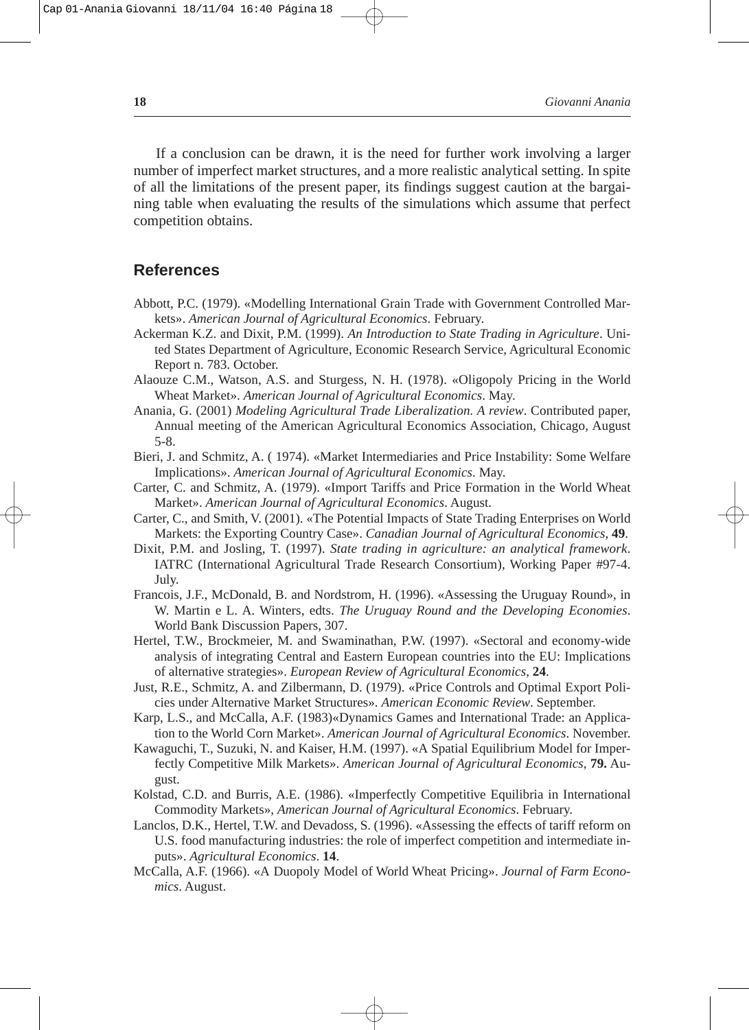If a conclusion can be drawn, it is the need for further work involving a larger number of imperfect market structures, and a more realistic analytical setting. In spite of all the limitations of the present paper, its findings suggest caution at the bargaining table when evaluating the results of the simulations which assume that perfect competition obtains.

#### **References**

- Abbott, P.C. (1979). «Modelling International Grain Trade with Government Controlled Markets». *American Journal of Agricultural Economics*. February.
- Ackerman K.Z. and Dixit, P.M. (1999). *An Introduction to State Trading in Agriculture*. United States Department of Agriculture, Economic Research Service, Agricultural Economic Report n. 783. October.
- Alaouze C.M., Watson, A.S. and Sturgess, N. H. (1978). «Oligopoly Pricing in the World Wheat Market». *American Journal of Agricultural Economics*. May.
- Anania, G. (2001) *Modeling Agricultural Trade Liberalization. A review*. Contributed paper, Annual meeting of the American Agricultural Economics Association, Chicago, August 5-8.
- Bieri, J. and Schmitz, A. ( 1974). «Market Intermediaries and Price Instability: Some Welfare Implications». *American Journal of Agricultural Economics*. May.
- Carter, C. and Schmitz, A. (1979). «Import Tariffs and Price Formation in the World Wheat Market». *American Journal of Agricultural Economics*. August.
- Carter, C., and Smith, V. (2001). «The Potential Impacts of State Trading Enterprises on World Markets: the Exporting Country Case». *Canadian Journal of Agricultural Economics*, **49**.
- Dixit, P.M. and Josling, T. (1997). *State trading in agriculture: an analytical framework*. IATRC (International Agricultural Trade Research Consortium), Working Paper #97-4. July.
- Francois, J.F., McDonald, B. and Nordstrom, H. (1996). «Assessing the Uruguay Round», in W. Martin e L. A. Winters, edts. *The Uruguay Round and the Developing Economies*. World Bank Discussion Papers, 307.
- Hertel, T.W., Brockmeier, M. and Swaminathan, P.W. (1997). «Sectoral and economy-wide analysis of integrating Central and Eastern European countries into the EU: Implications of alternative strategies». *European Review of Agricultural Economics*, **24**.
- Just, R.E., Schmitz, A. and Zilbermann, D. (1979). «Price Controls and Optimal Export Policies under Alternative Market Structures». *American Economic Review*. September.
- Karp, L.S., and McCalla, A.F. (1983)«Dynamics Games and International Trade: an Application to the World Corn Market». *American Journal of Agricultural Economics*. November.
- Kawaguchi, T., Suzuki, N. and Kaiser, H.M. (1997). «A Spatial Equilibrium Model for Imperfectly Competitive Milk Markets». *American Journal of Agricultural Economics*, **79.** August.
- Kolstad, C.D. and Burris, A.E. (1986). «Imperfectly Competitive Equilibria in International Commodity Markets», *American Journal of Agricultural Economics*. February.
- Lanclos, D.K., Hertel, T.W. and Devadoss, S. (1996). «Assessing the effects of tariff reform on U.S. food manufacturing industries: the role of imperfect competition and intermediate inputs». *Agricultural Economics*. **14**.
- McCalla, A.F. (1966). «A Duopoly Model of World Wheat Pricing». *Journal of Farm Economics*. August.